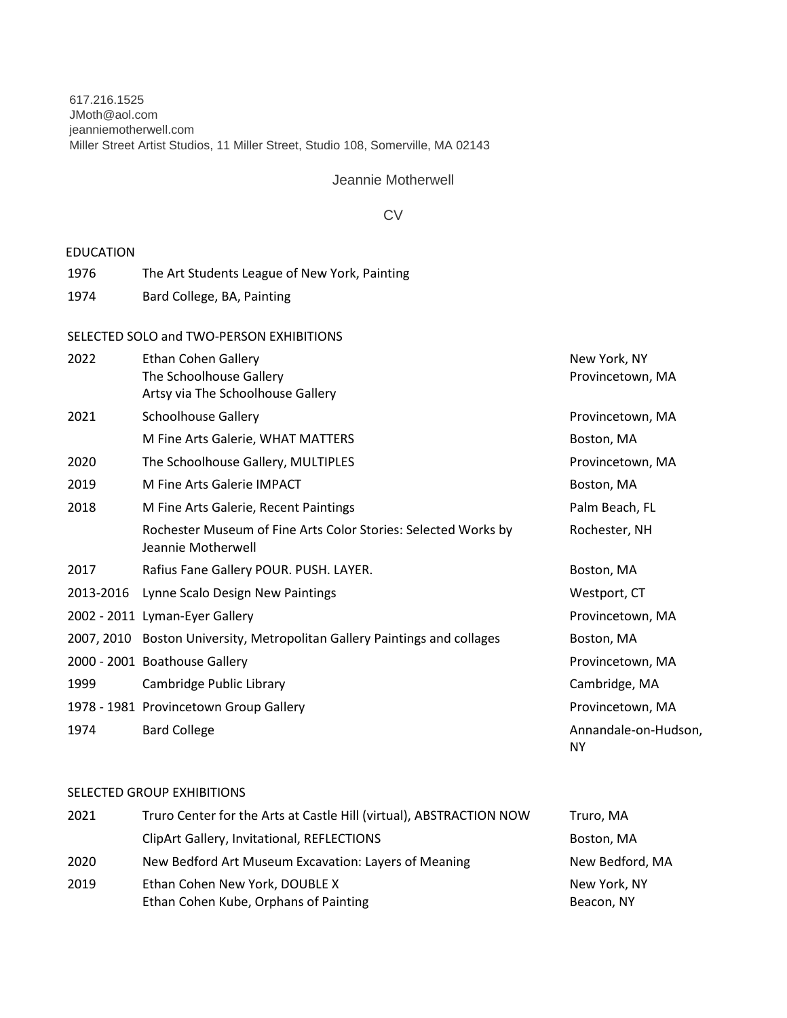617.216.1525 JMoth@aol.com jeanniemotherwell.com Miller Street Artist Studios, 11 Miller Street, Studio 108, Somerville, MA 02143

Jeannie Motherwell

## **CV**

## EDUCATION

- 1976 The Art Students League of New York, Painting
- 1974 Bard College, BA, Painting

#### SELECTED SOLO and TWO-PERSON EXHIBITIONS

| 2022      | Ethan Cohen Gallery                                                                  | New York, NY               |
|-----------|--------------------------------------------------------------------------------------|----------------------------|
|           | The Schoolhouse Gallery                                                              | Provincetown, MA           |
|           | Artsy via The Schoolhouse Gallery                                                    |                            |
| 2021      | <b>Schoolhouse Gallery</b>                                                           | Provincetown, MA           |
|           | M Fine Arts Galerie, WHAT MATTERS                                                    | Boston, MA                 |
| 2020      | The Schoolhouse Gallery, MULTIPLES                                                   | Provincetown, MA           |
| 2019      | M Fine Arts Galerie IMPACT                                                           | Boston, MA                 |
| 2018      | M Fine Arts Galerie, Recent Paintings                                                | Palm Beach, FL             |
|           | Rochester Museum of Fine Arts Color Stories: Selected Works by<br>Jeannie Motherwell | Rochester, NH              |
| 2017      | Rafius Fane Gallery POUR. PUSH. LAYER.                                               | Boston, MA                 |
| 2013-2016 | Lynne Scalo Design New Paintings                                                     | Westport, CT               |
|           | 2002 - 2011 Lyman-Eyer Gallery                                                       | Provincetown, MA           |
|           | 2007, 2010 Boston University, Metropolitan Gallery Paintings and collages            | Boston, MA                 |
|           | 2000 - 2001 Boathouse Gallery                                                        | Provincetown, MA           |
| 1999      | Cambridge Public Library                                                             | Cambridge, MA              |
|           | 1978 - 1981 Provincetown Group Gallery                                               | Provincetown, MA           |
| 1974      | <b>Bard College</b>                                                                  | Annandale-on-Hudson,<br>ΝY |

# SELECTED GROUP EXHIBITIONS

| 2021 | Truro Center for the Arts at Castle Hill (virtual), ABSTRACTION NOW | Truro, MA       |
|------|---------------------------------------------------------------------|-----------------|
|      | ClipArt Gallery, Invitational, REFLECTIONS                          | Boston, MA      |
| 2020 | New Bedford Art Museum Excavation: Layers of Meaning                | New Bedford, MA |
| 2019 | Ethan Cohen New York, DOUBLE X                                      | New York, NY    |
|      | Ethan Cohen Kube, Orphans of Painting                               | Beacon, NY      |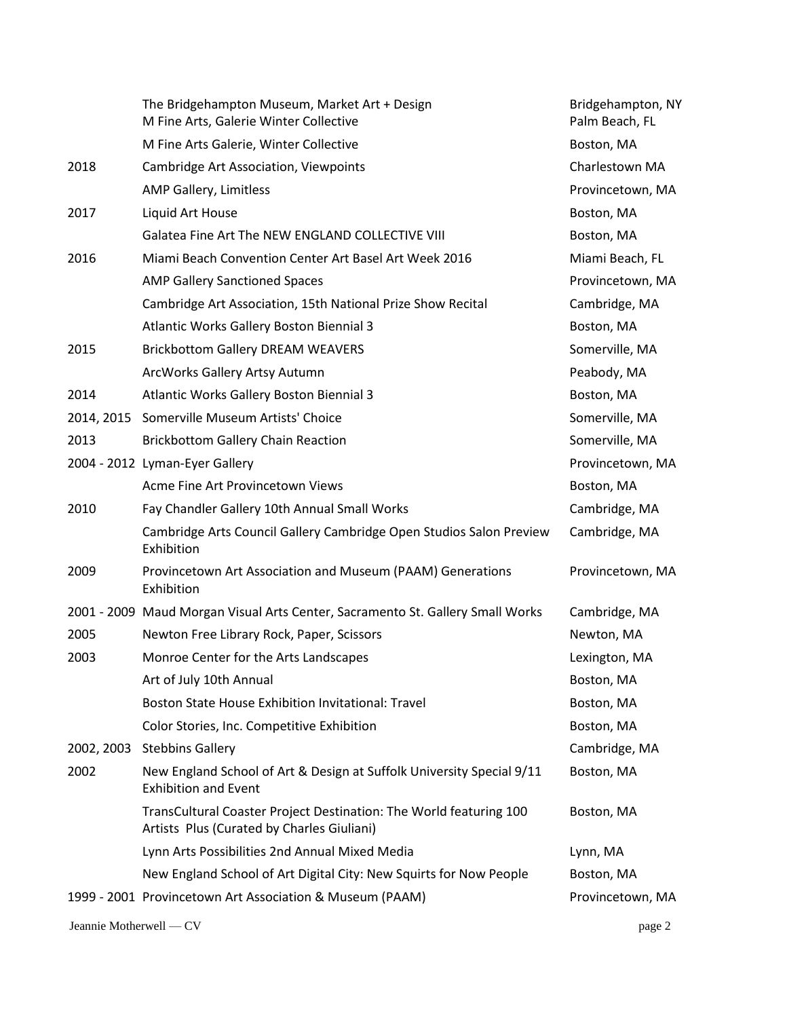|                         | The Bridgehampton Museum, Market Art + Design<br>M Fine Arts, Galerie Winter Collective                          | Bridgehampton, NY<br>Palm Beach, FL |
|-------------------------|------------------------------------------------------------------------------------------------------------------|-------------------------------------|
|                         | M Fine Arts Galerie, Winter Collective                                                                           | Boston, MA                          |
| 2018                    | <b>Cambridge Art Association, Viewpoints</b>                                                                     | Charlestown MA                      |
|                         | AMP Gallery, Limitless                                                                                           | Provincetown, MA                    |
| 2017                    | Liquid Art House                                                                                                 | Boston, MA                          |
|                         | Galatea Fine Art The NEW ENGLAND COLLECTIVE VIII                                                                 | Boston, MA                          |
| 2016                    | Miami Beach Convention Center Art Basel Art Week 2016                                                            | Miami Beach, FL                     |
|                         | <b>AMP Gallery Sanctioned Spaces</b>                                                                             | Provincetown, MA                    |
|                         | Cambridge Art Association, 15th National Prize Show Recital                                                      | Cambridge, MA                       |
|                         | Atlantic Works Gallery Boston Biennial 3                                                                         | Boston, MA                          |
| 2015                    | <b>Brickbottom Gallery DREAM WEAVERS</b>                                                                         | Somerville, MA                      |
|                         | ArcWorks Gallery Artsy Autumn                                                                                    | Peabody, MA                         |
| 2014                    | Atlantic Works Gallery Boston Biennial 3                                                                         | Boston, MA                          |
|                         | 2014, 2015 Somerville Museum Artists' Choice                                                                     | Somerville, MA                      |
| 2013                    | <b>Brickbottom Gallery Chain Reaction</b>                                                                        | Somerville, MA                      |
|                         | 2004 - 2012 Lyman-Eyer Gallery                                                                                   | Provincetown, MA                    |
|                         | Acme Fine Art Provincetown Views                                                                                 | Boston, MA                          |
| 2010                    | Fay Chandler Gallery 10th Annual Small Works                                                                     | Cambridge, MA                       |
|                         | Cambridge Arts Council Gallery Cambridge Open Studios Salon Preview<br>Exhibition                                | Cambridge, MA                       |
| 2009                    | Provincetown Art Association and Museum (PAAM) Generations<br>Exhibition                                         | Provincetown, MA                    |
|                         | 2001 - 2009 Maud Morgan Visual Arts Center, Sacramento St. Gallery Small Works                                   | Cambridge, MA                       |
| 2005                    | Newton Free Library Rock, Paper, Scissors                                                                        | Newton, MA                          |
| 2003                    | Monroe Center for the Arts Landscapes                                                                            | Lexington, MA                       |
|                         | Art of July 10th Annual                                                                                          | Boston, MA                          |
|                         | Boston State House Exhibition Invitational: Travel                                                               | Boston, MA                          |
|                         | Color Stories, Inc. Competitive Exhibition                                                                       | Boston, MA                          |
| 2002, 2003              | <b>Stebbins Gallery</b>                                                                                          | Cambridge, MA                       |
| 2002                    | New England School of Art & Design at Suffolk University Special 9/11<br><b>Exhibition and Event</b>             | Boston, MA                          |
|                         | TransCultural Coaster Project Destination: The World featuring 100<br>Artists Plus (Curated by Charles Giuliani) | Boston, MA                          |
|                         | Lynn Arts Possibilities 2nd Annual Mixed Media                                                                   | Lynn, MA                            |
|                         | New England School of Art Digital City: New Squirts for Now People                                               | Boston, MA                          |
|                         | 1999 - 2001 Provincetown Art Association & Museum (PAAM)                                                         | Provincetown, MA                    |
| Jeannie Motherwell - CV |                                                                                                                  | page 2                              |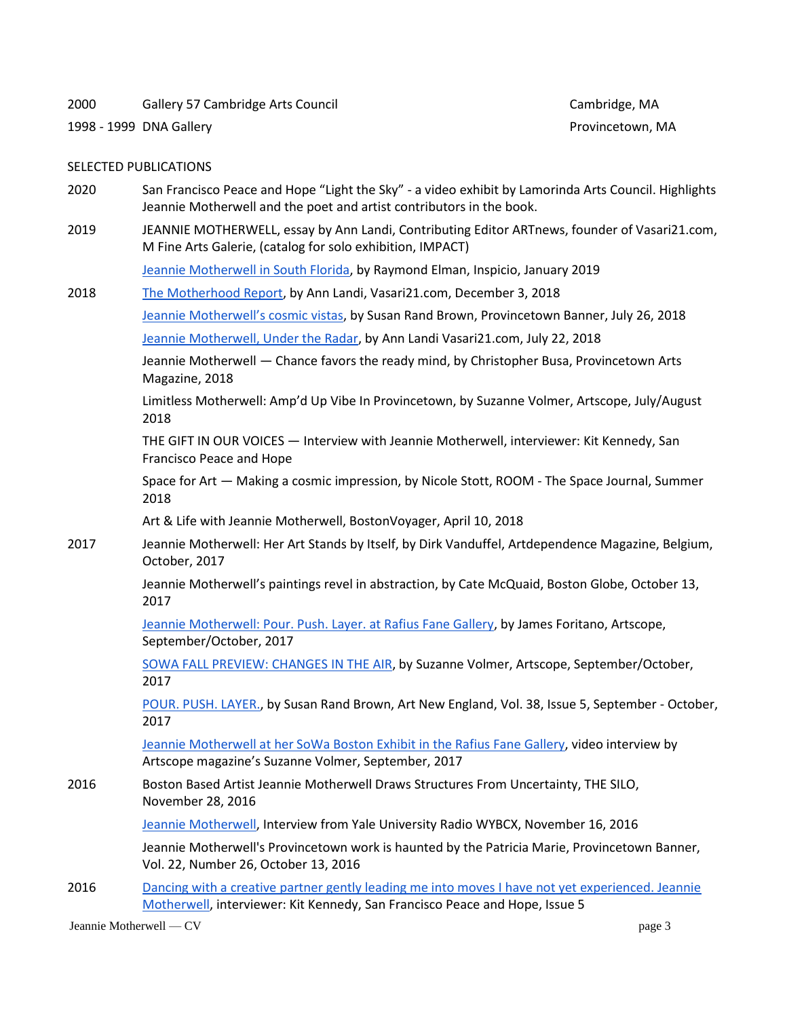2000 Gallery 57 Cambridge Arts Council Cambridge, MA

1998 - 1999 DNA Gallery Provincetown, MA

#### SELECTED PUBLICATIONS

- 2020 San Francisco Peace and Hope "Light the Sky" a video exhibit by Lamorinda Arts Council. Highlights Jeannie Motherwell and the poet and artist contributors in the book.
- 2019 JEANNIE MOTHERWELL, essay by Ann Landi, Contributing Editor ARTnews, founder of Vasari21.com, M Fine Arts Galerie, (catalog for solo exhibition, IMPACT)

[Jeannie Motherwell in South Florida,](http://inspicio.fiu.edu/uncategorized/jeannie-motherwell/) by Raymond Elman, Inspicio, January 2019

2018 [The Motherhood Report,](https://vasari21.com/the-motherhood-report/) by Ann Landi, Vasari21.com, December 3, 2018

[Jeannie Motherwell's cosmic vistas](http://provincetown.wickedlocal.com/entertainment/20180726/jeannie-motherwells-cosmic-vistas), by Susan Rand Brown, Provincetown Banner, July 26, 2018

[Jeannie Motherwell, Under the Radar,](https://vasari21.com/jeannie-motherwell) by Ann Landi Vasari21.com, July 22, 2018

Jeannie Motherwell — Chance favors the ready mind, by Christopher Busa, Provincetown Arts Magazine, 2018

Limitless Motherwell: Amp'd Up Vibe In Provincetown, by Suzanne Volmer, Artscope, July/August 2018

THE GIFT IN OUR VOICES — Interview with Jeannie Motherwell, interviewer: Kit Kennedy, San Francisco Peace and Hope

Space for Art — Making a cosmic impression, by Nicole Stott, ROOM - The Space Journal, Summer 2018

Art & Life with Jeannie Motherwell, BostonVoyager, April 10, 2018

2017 Jeannie Motherwell: Her Art Stands by Itself, by Dirk Vanduffel, Artdependence Magazine, Belgium, October, 2017

> Jeannie Motherwell's paintings revel in abstraction, by Cate McQuaid, Boston Globe, October 13, 2017

[Jeannie Motherwell: Pour. Push. Layer. at Rafius Fane Gallery,](https://artscopemagazine.com/2017/09/jeannie-motherwell-pour-push-layer-at-radius-fane-gallery/) by James Foritano, Artscope, September/October, 2017

[SOWA FALL PREVIEW: CHANGES IN THE AIR,](https://artscopemagazine.com/2017/09/sowa-fall-preview-changes-in-the-air/) by Suzanne Volmer, Artscope, September/October, 2017

[POUR. PUSH. LAYER.,](https://jeanniemotherwell.com/pour-push-layer-art-new-england-sept-2017-vol-38-issue-5) by Susan Rand Brown, Art New England, Vol. 38, Issue 5, September - October, 2017

[Jeannie Motherwell at her SoWa Boston Exhibit in the Rafius Fane Gallery,](https://artscopemagazine.com/2017/09/jeannie-motherwell-pour-push-layer-at-radius-fane-gallery/) video interview by Artscope magazine's Suzanne Volmer, September, 2017

2016 Boston Based Artist Jeannie Motherwell Draws Structures From Uncertainty, THE SILO, November 28, 2016

[Jeannie Motherwell,](http://museumofnonvisibleart.com/interviews/jeannie-motherwell/) Interview from Yale University Radio WYBCX, November 16, 2016

Jeannie Motherwell's Provincetown work is haunted by the Patricia Marie, Provincetown Banner, Vol. 22, Number 26, October 13, 2016

2016 Dancing with a creative partner gently leading me into moves I have not yet experienced. Jeannie [Motherwell,](http://www.sfpeaceandhope.com/issue5/jminterview2016.html) interviewer: Kit Kennedy, San Francisco Peace and Hope, Issue 5

Jeannie Motherwell — CV page 3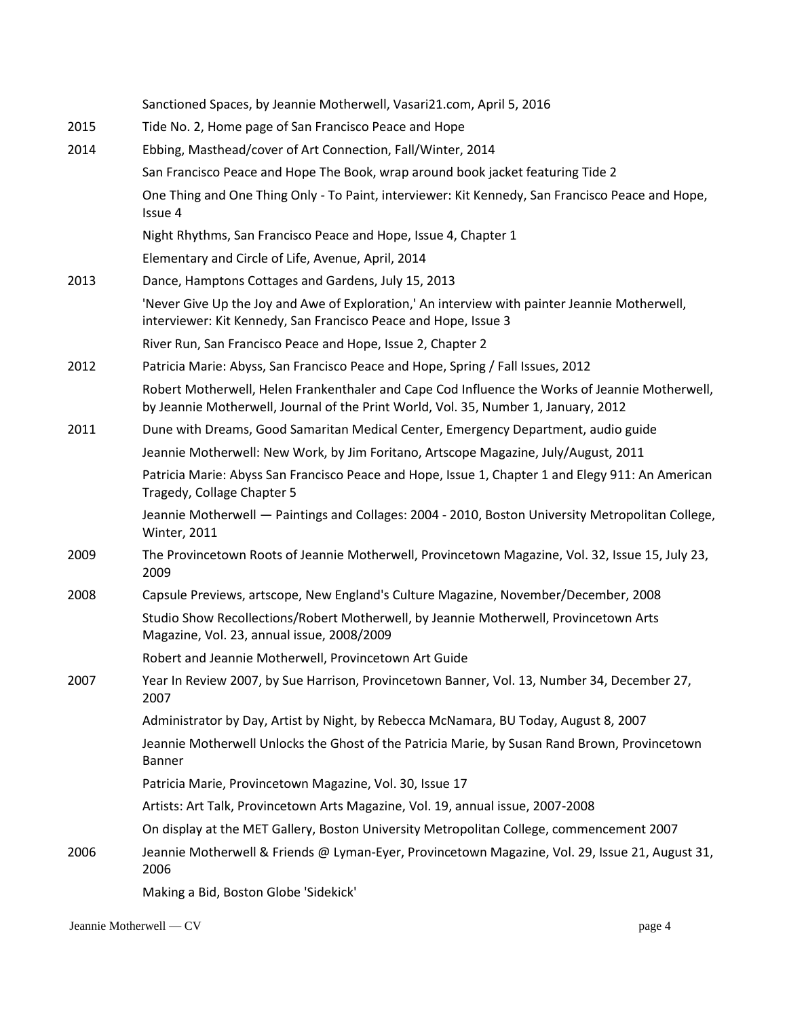|      | Sanctioned Spaces, by Jeannie Motherwell, Vasari21.com, April 5, 2016                                                                                                                 |
|------|---------------------------------------------------------------------------------------------------------------------------------------------------------------------------------------|
| 2015 | Tide No. 2, Home page of San Francisco Peace and Hope                                                                                                                                 |
| 2014 | Ebbing, Masthead/cover of Art Connection, Fall/Winter, 2014                                                                                                                           |
|      | San Francisco Peace and Hope The Book, wrap around book jacket featuring Tide 2                                                                                                       |
|      | One Thing and One Thing Only - To Paint, interviewer: Kit Kennedy, San Francisco Peace and Hope,<br>Issue 4                                                                           |
|      | Night Rhythms, San Francisco Peace and Hope, Issue 4, Chapter 1                                                                                                                       |
|      | Elementary and Circle of Life, Avenue, April, 2014                                                                                                                                    |
| 2013 | Dance, Hamptons Cottages and Gardens, July 15, 2013                                                                                                                                   |
|      | 'Never Give Up the Joy and Awe of Exploration,' An interview with painter Jeannie Motherwell,<br>interviewer: Kit Kennedy, San Francisco Peace and Hope, Issue 3                      |
|      | River Run, San Francisco Peace and Hope, Issue 2, Chapter 2                                                                                                                           |
| 2012 | Patricia Marie: Abyss, San Francisco Peace and Hope, Spring / Fall Issues, 2012                                                                                                       |
|      | Robert Motherwell, Helen Frankenthaler and Cape Cod Influence the Works of Jeannie Motherwell,<br>by Jeannie Motherwell, Journal of the Print World, Vol. 35, Number 1, January, 2012 |
| 2011 | Dune with Dreams, Good Samaritan Medical Center, Emergency Department, audio guide                                                                                                    |
|      | Jeannie Motherwell: New Work, by Jim Foritano, Artscope Magazine, July/August, 2011                                                                                                   |
|      | Patricia Marie: Abyss San Francisco Peace and Hope, Issue 1, Chapter 1 and Elegy 911: An American<br>Tragedy, Collage Chapter 5                                                       |
|      | Jeannie Motherwell - Paintings and Collages: 2004 - 2010, Boston University Metropolitan College,<br><b>Winter, 2011</b>                                                              |
| 2009 | The Provincetown Roots of Jeannie Motherwell, Provincetown Magazine, Vol. 32, Issue 15, July 23,<br>2009                                                                              |
| 2008 | Capsule Previews, artscope, New England's Culture Magazine, November/December, 2008                                                                                                   |
|      | Studio Show Recollections/Robert Motherwell, by Jeannie Motherwell, Provincetown Arts<br>Magazine, Vol. 23, annual issue, 2008/2009                                                   |
|      | Robert and Jeannie Motherwell, Provincetown Art Guide                                                                                                                                 |
| 2007 | Year In Review 2007, by Sue Harrison, Provincetown Banner, Vol. 13, Number 34, December 27,<br>2007                                                                                   |
|      | Administrator by Day, Artist by Night, by Rebecca McNamara, BU Today, August 8, 2007                                                                                                  |
|      | Jeannie Motherwell Unlocks the Ghost of the Patricia Marie, by Susan Rand Brown, Provincetown<br>Banner                                                                               |
|      | Patricia Marie, Provincetown Magazine, Vol. 30, Issue 17                                                                                                                              |
|      | Artists: Art Talk, Provincetown Arts Magazine, Vol. 19, annual issue, 2007-2008                                                                                                       |
|      | On display at the MET Gallery, Boston University Metropolitan College, commencement 2007                                                                                              |
| 2006 | Jeannie Motherwell & Friends @ Lyman-Eyer, Provincetown Magazine, Vol. 29, Issue 21, August 31,<br>2006                                                                               |
|      | Making a Bid, Boston Globe 'Sidekick'                                                                                                                                                 |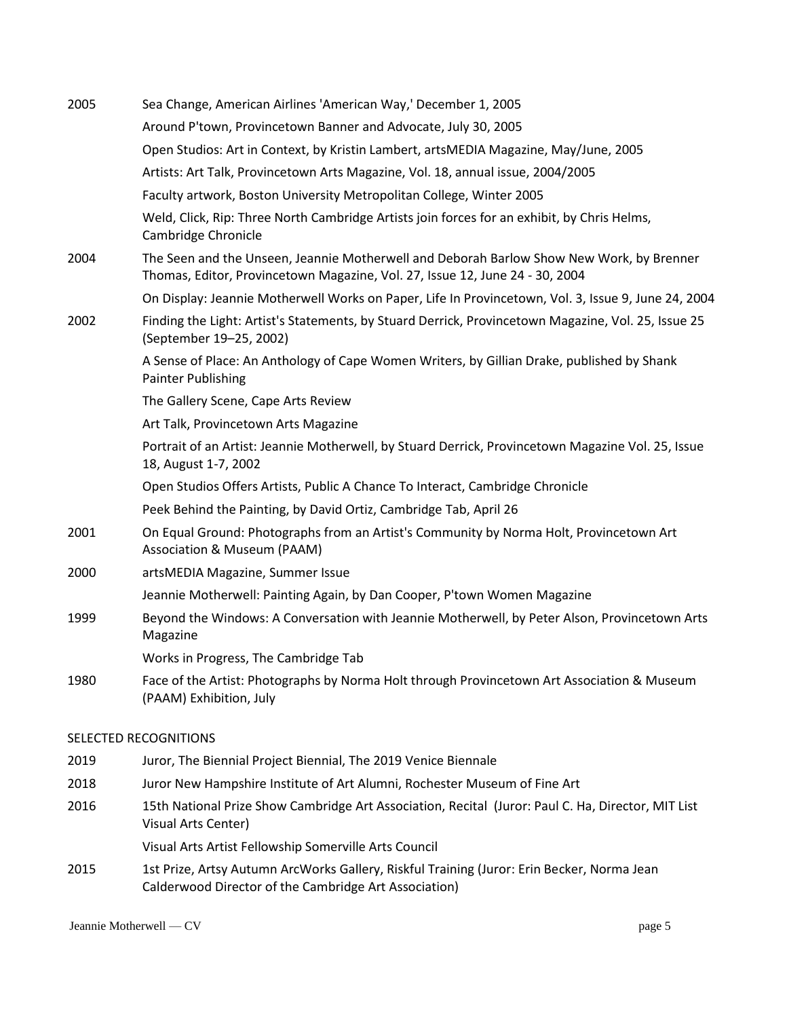| 2005 | Sea Change, American Airlines 'American Way,' December 1, 2005                                                                                                           |
|------|--------------------------------------------------------------------------------------------------------------------------------------------------------------------------|
|      | Around P'town, Provincetown Banner and Advocate, July 30, 2005                                                                                                           |
|      | Open Studios: Art in Context, by Kristin Lambert, artsMEDIA Magazine, May/June, 2005                                                                                     |
|      | Artists: Art Talk, Provincetown Arts Magazine, Vol. 18, annual issue, 2004/2005                                                                                          |
|      | Faculty artwork, Boston University Metropolitan College, Winter 2005                                                                                                     |
|      | Weld, Click, Rip: Three North Cambridge Artists join forces for an exhibit, by Chris Helms,<br>Cambridge Chronicle                                                       |
| 2004 | The Seen and the Unseen, Jeannie Motherwell and Deborah Barlow Show New Work, by Brenner<br>Thomas, Editor, Provincetown Magazine, Vol. 27, Issue 12, June 24 - 30, 2004 |
|      | On Display: Jeannie Motherwell Works on Paper, Life In Provincetown, Vol. 3, Issue 9, June 24, 2004                                                                      |
| 2002 | Finding the Light: Artist's Statements, by Stuard Derrick, Provincetown Magazine, Vol. 25, Issue 25<br>(September 19-25, 2002)                                           |
|      | A Sense of Place: An Anthology of Cape Women Writers, by Gillian Drake, published by Shank<br><b>Painter Publishing</b>                                                  |
|      | The Gallery Scene, Cape Arts Review                                                                                                                                      |
|      | Art Talk, Provincetown Arts Magazine                                                                                                                                     |
|      | Portrait of an Artist: Jeannie Motherwell, by Stuard Derrick, Provincetown Magazine Vol. 25, Issue<br>18, August 1-7, 2002                                               |
|      | Open Studios Offers Artists, Public A Chance To Interact, Cambridge Chronicle                                                                                            |
|      | Peek Behind the Painting, by David Ortiz, Cambridge Tab, April 26                                                                                                        |
| 2001 | On Equal Ground: Photographs from an Artist's Community by Norma Holt, Provincetown Art<br><b>Association &amp; Museum (PAAM)</b>                                        |
| 2000 | artsMEDIA Magazine, Summer Issue                                                                                                                                         |
|      | Jeannie Motherwell: Painting Again, by Dan Cooper, P'town Women Magazine                                                                                                 |
| 1999 | Beyond the Windows: A Conversation with Jeannie Motherwell, by Peter Alson, Provincetown Arts<br>Magazine                                                                |
|      | Works in Progress, The Cambridge Tab                                                                                                                                     |
| 1980 | Face of the Artist: Photographs by Norma Holt through Provincetown Art Association & Museum<br>(PAAM) Exhibition, July                                                   |
|      |                                                                                                                                                                          |

# SELECTED RECOGNITIONS

- 2019 Juror, The Biennial Project Biennial, The 2019 Venice Biennale
- 2018 Juror New Hampshire Institute of Art Alumni, Rochester Museum of Fine Art
- 2016 15th National Prize Show Cambridge Art Association, Recital (Juror: Paul C. Ha, Director, MIT List Visual Arts Center)

Visual Arts Artist Fellowship Somerville Arts Council

2015 1st Prize, Artsy Autumn ArcWorks Gallery, Riskful Training (Juror: Erin Becker, Norma Jean Calderwood Director of the Cambridge Art Association)

Jeannie Motherwell — CV page 5